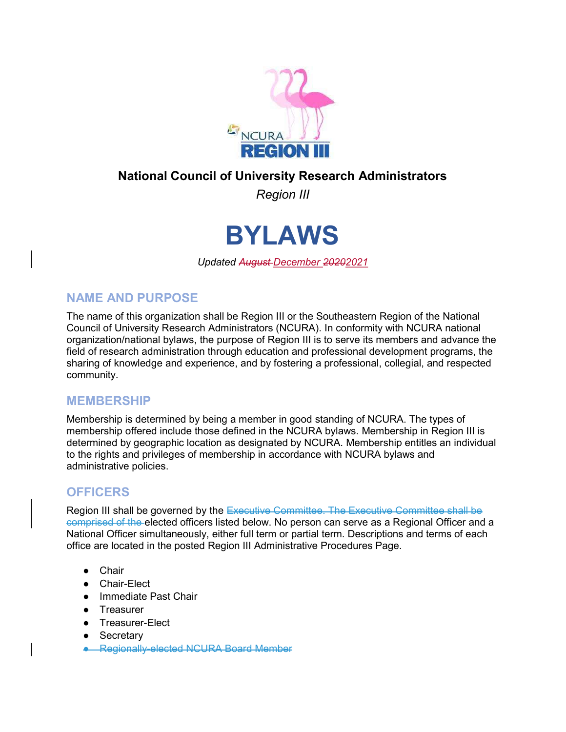

# National Council of University Research Administrators

Region III



Updated August December 20202021

#### NAME AND PURPOSE

The name of this organization shall be Region III or the Southeastern Region of the National Council of University Research Administrators (NCURA). In conformity with NCURA national organization/national bylaws, the purpose of Region III is to serve its members and advance the field of research administration through education and professional development programs, the sharing of knowledge and experience, and by fostering a professional, collegial, and respected community.

#### MEMBERSHIP

Membership is determined by being a member in good standing of NCURA. The types of membership offered include those defined in the NCURA bylaws. Membership in Region III is determined by geographic location as designated by NCURA. Membership entitles an individual to the rights and privileges of membership in accordance with NCURA bylaws and administrative policies.

## **OFFICERS**

Region III shall be governed by the Executive Committee. The Executive Committee shall be comprised of the elected officers listed below. No person can serve as a Regional Officer and a National Officer simultaneously, either full term or partial term. Descriptions and terms of each office are located in the posted Region III Administrative Procedures Page.

- Chair
- Chair-Elect
- Immediate Past Chair
- Treasurer
- Treasurer-Elect
- Secretary
- Regionally-elected NCURA Board Member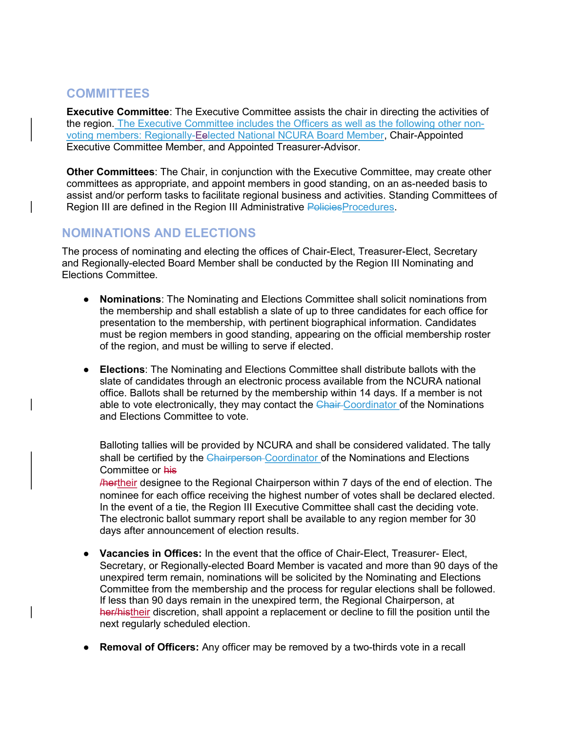## **COMMITTEES**

Executive Committee: The Executive Committee assists the chair in directing the activities of the region. The Executive Committee includes the Officers as well as the following other nonvoting members: Regionally-Eelected National NCURA Board Member, Chair-Appointed Executive Committee Member, and Appointed Treasurer-Advisor.

Other Committees: The Chair, in conjunction with the Executive Committee, may create other committees as appropriate, and appoint members in good standing, on an as-needed basis to assist and/or perform tasks to facilitate regional business and activities. Standing Committees of Region III are defined in the Region III Administrative PoliciesProcedures.

## NOMINATIONS AND ELECTIONS

The process of nominating and electing the offices of Chair-Elect, Treasurer-Elect, Secretary and Regionally-elected Board Member shall be conducted by the Region III Nominating and Elections Committee.

- Nominations: The Nominating and Elections Committee shall solicit nominations from the membership and shall establish a slate of up to three candidates for each office for presentation to the membership, with pertinent biographical information. Candidates must be region members in good standing, appearing on the official membership roster of the region, and must be willing to serve if elected.
- Elections: The Nominating and Elections Committee shall distribute ballots with the slate of candidates through an electronic process available from the NCURA national office. Ballots shall be returned by the membership within 14 days. If a member is not able to vote electronically, they may contact the Chair-Coordinator of the Nominations and Elections Committee to vote.

Balloting tallies will be provided by NCURA and shall be considered validated. The tally shall be certified by the Chairperson-Coordinator of the Nominations and Elections Committee or his

**Hertheir designee to the Regional Chairperson within 7 days of the end of election. The** nominee for each office receiving the highest number of votes shall be declared elected. In the event of a tie, the Region III Executive Committee shall cast the deciding vote. The electronic ballot summary report shall be available to any region member for 30 days after announcement of election results.

- Vacancies in Offices: In the event that the office of Chair-Elect, Treasurer- Elect, Secretary, or Regionally-elected Board Member is vacated and more than 90 days of the unexpired term remain, nominations will be solicited by the Nominating and Elections Committee from the membership and the process for regular elections shall be followed. If less than 90 days remain in the unexpired term, the Regional Chairperson, at her/histheir discretion, shall appoint a replacement or decline to fill the position until the next regularly scheduled election.
- Removal of Officers: Any officer may be removed by a two-thirds vote in a recall